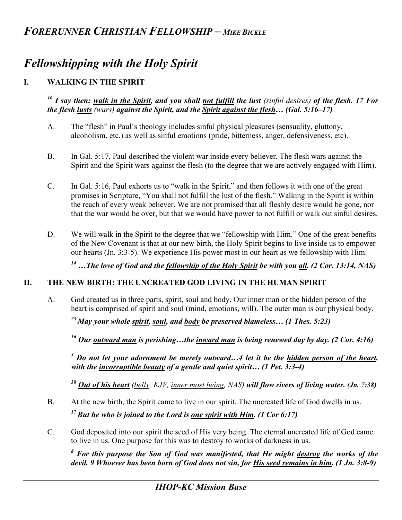# *Fellowshipping with the Holy Spirit*

## **I. WALKING IN THE SPIRIT**

*16 I say then: walk in the Spirit, and you shall not fulfill the lust (sinful desires) of the flesh. 17 For the flesh lusts (wars) against the Spirit, and the Spirit against the flesh… (Gal. 5:16–17)* 

- A. The "flesh" in Paul's theology includes sinful physical pleasures (sensuality, gluttony, alcoholism, etc.) as well as sinful emotions (pride, bitterness, anger, defensiveness, etc).
- B. In Gal. 5:17, Paul described the violent war inside every believer. The flesh wars against the Spirit and the Spirit wars against the flesh (to the degree that we are actively engaged with Him).
- C. In Gal. 5:16, Paul exhorts us to "walk in the Spirit," and then follows it with one of the great promises in Scripture, "You shall not fulfill the lust of the flesh." Walking in the Spirit is within the reach of every weak believer. We are not promised that all fleshly desire would be gone, nor that the war would be over, but that we would have power to not fulfill or walk out sinful desires.
- D. We will walk in the Spirit to the degree that we "fellowship with Him." One of the great benefits of the New Covenant is that at our new birth, the Holy Spirit begins to live inside us to empower our hearts (Jn. 3:3-5). We experience His power most in our heart as we fellowship with Him.

*14 …The love of God and the fellowship of the Holy Spirit be with you all. (2 Cor. 13:14, NAS)*

#### **II. THE NEW BIRTH: THE UNCREATED GOD LIVING IN THE HUMAN SPIRIT**

A. God created us in three parts, spirit, soul and body. Our inner man or the hidden person of the heart is comprised of spirit and soul (mind, emotions, will). The outer man is our physical body.

*23 May your whole spirit, soul, and body be preserved blameless… (1 Thes. 5:23)* 

*16 Our outward man is perishing…the inward man is being renewed day by day. (2 Cor. 4:16)* 

<sup>3</sup> Do not let your adornment be merely outward...4 let it be the <u>hidden person of the heart</u>, *with the incorruptible beauty of a gentle and quiet spirit… (1 Pet. 3:3-4)*

*<sup>38</sup> Out of his heart (belly, KJV, inner most being, NAS) will flow rivers of living water. (Jn. 7:38)* 

B. At the new birth, the Spirit came to live in our spirit. The uncreated life of God dwells in us.

*17 But he who is joined to the Lord is one spirit with Him. (1 Cor 6:17)*

C. God deposited into our spirit the seed of His very being. The eternal uncreated life of God came to live in us. One purpose for this was to destroy to works of darkness in us.

<sup>8</sup> For this purpose the Son of God was manifested, that He might <u>destroy</u> the works of the *devil. 9 Whoever has been born of God does not sin, for His seed remains in him. (1 Jn. 3:8-9)*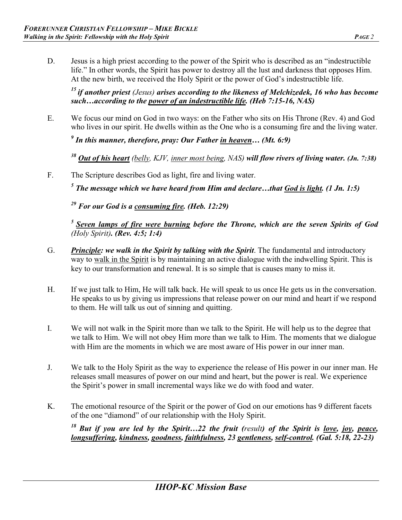D. Jesus is a high priest according to the power of the Spirit who is described as an "indestructible life." In other words, the Spirit has power to destroy all the lust and darkness that opposes Him. At the new birth, we received the Holy Spirit or the power of God's indestructible life.

*15 if another priest (Jesus) arises according to the likeness of Melchizedek, 16 who has become such…according to the power of an indestructible life. (Heb 7:15-16, NAS)*

E. We focus our mind on God in two ways: on the Father who sits on His Throne (Rev. 4) and God who lives in our spirit. He dwells within as the One who is a consuming fire and the living water.

*9 In this manner, therefore, pray: Our Father in heaven… (Mt. 6:9)*

*<sup>38</sup> Out of his heart (belly, KJV, inner most being, NAS) will flow rivers of living water. (Jn. 7:38)* 

F. The Scripture describes God as light, fire and living water.

*5 The message which we have heard from Him and declare…that God is light. (1 Jn. 1:5)* 

*29 For our God is a consuming fire. (Heb. 12:29)*

*5 Seven lamps of fire were burning before the Throne, which are the seven Spirits of God (Holy Spirit). (Rev. 4:5; 1:4)* 

- G. *Principle: we walk in the Spirit by talking with the Spirit*. The fundamental and introductory way to walk in the Spirit is by maintaining an active dialogue with the indwelling Spirit. This is key to our transformation and renewal. It is so simple that is causes many to miss it.
- H. If we just talk to Him, He will talk back. He will speak to us once He gets us in the conversation. He speaks to us by giving us impressions that release power on our mind and heart if we respond to them. He will talk us out of sinning and quitting.
- I. We will not walk in the Spirit more than we talk to the Spirit. He will help us to the degree that we talk to Him. We will not obey Him more than we talk to Him. The moments that we dialogue with Him are the moments in which we are most aware of His power in our inner man.
- J. We talk to the Holy Spirit as the way to experience the release of His power in our inner man. He releases small measures of power on our mind and heart, but the power is real. We experience the Spirit's power in small incremental ways like we do with food and water.
- K. The emotional resource of the Spirit or the power of God on our emotions has 9 different facets of the one "diamond" of our relationship with the Holy Spirit.

*18 But if you are led by the Spirit…22 the fruit (result) of the Spirit is love, joy, peace, longsuffering, kindness, goodness, faithfulness, 23 gentleness, self-control. (Gal. 5:18, 22-23)*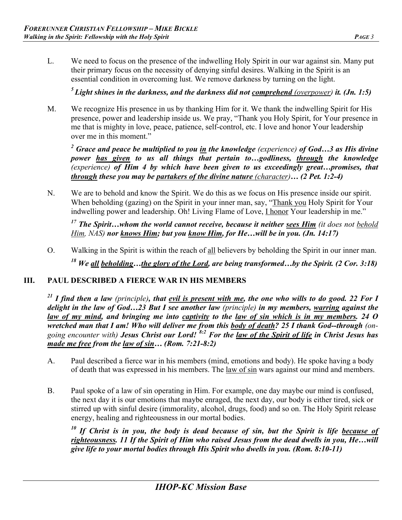L. We need to focus on the presence of the indwelling Holy Spirit in our war against sin. Many put their primary focus on the necessity of denying sinful desires. Walking in the Spirit is an essential condition in overcoming lust. We remove darkness by turning on the light.

*5 Light shines in the darkness, and the darkness did not comprehend (overpower) it. (Jn. 1:5)* 

M. We recognize His presence in us by thanking Him for it. We thank the indwelling Spirit for His presence, power and leadership inside us. We pray, "Thank you Holy Spirit, for Your presence in me that is mighty in love, peace, patience, self-control, etc. I love and honor Your leadership over me in this moment."

*2 Grace and peace be multiplied to you in the knowledge (experience) of God…3 as His divine power has given to us all things that pertain to…godliness, through the knowledge (experience) of Him 4 by which have been given to us exceedingly great…promises, that through these you may be partakers of the divine nature (character)… (2 Pet. 1:2-4)*

N. We are to behold and know the Spirit. We do this as we focus on His presence inside our spirit. When beholding (gazing) on the Spirit in your inner man, say, "Thank you Holy Spirit for Your indwelling power and leadership. Oh! Living Flame of Love, I honor Your leadership in me."

*17 The Spirit…whom the world cannot receive, because it neither sees Him (it does not behold Him, NAS) nor knows Him; but you know Him, for He…will be in you. (Jn. 14:17)* 

O. Walking in the Spirit is within the reach of all believers by beholding the Spirit in our inner man. *18 We all beholding…the glory of the Lord, are being transformed…by the Spirit. (2 Cor. 3:18)* 

## **III. PAUL DESCRIBED A FIERCE WAR IN HIS MEMBERS**

*21 I find then a law (principle), that evil is present with me, the one who wills to do good. 22 For I delight in the law of God…23 But I see another law (principle) in my members, warring against the law of my mind, and bringing me into captivity to the law of sin which is in my members. 24 O wretched man that I am! Who will deliver me from this body of death? 25 I thank God--through (ongoing encounter with) Jesus Christ our Lord! 8:2 For the law of the Spirit of life in Christ Jesus has made me free from the law of sin… (Rom. 7:21-8:2)* 

- A. Paul described a fierce war in his members (mind, emotions and body). He spoke having a body of death that was expressed in his members. The <u>law of sin</u> wars against our mind and members.
- B. Paul spoke of a law of sin operating in Him. For example, one day maybe our mind is confused, the next day it is our emotions that maybe enraged, the next day, our body is either tired, sick or stirred up with sinful desire (immorality, alcohol, drugs, food) and so on. The Holy Spirit release energy, healing and righteousness in our mortal bodies.

*10 If Christ is in you, the body is dead because of sin, but the Spirit is life because of righteousness. 11 If the Spirit of Him who raised Jesus from the dead dwells in you, He…will give life to your mortal bodies through His Spirit who dwells in you. (Rom. 8:10-11)*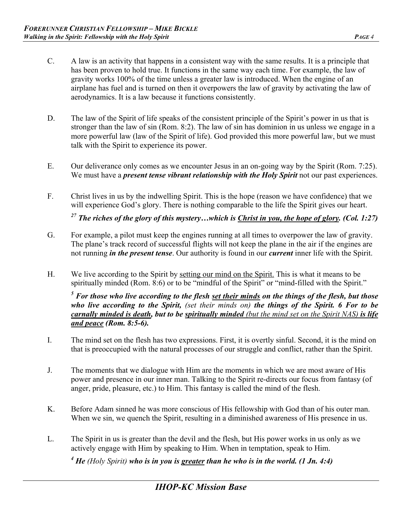- C. A law is an activity that happens in a consistent way with the same results. It is a principle that has been proven to hold true. It functions in the same way each time. For example, the law of gravity works 100% of the time unless a greater law is introduced. When the engine of an airplane has fuel and is turned on then it overpowers the law of gravity by activating the law of aerodynamics. It is a law because it functions consistently.
- D. The law of the Spirit of life speaks of the consistent principle of the Spirit's power in us that is stronger than the law of sin (Rom. 8:2). The law of sin has dominion in us unless we engage in a more powerful law (law of the Spirit of life). God provided this more powerful law, but we must talk with the Spirit to experience its power.
- E. Our deliverance only comes as we encounter Jesus in an on-going way by the Spirit (Rom. 7:25). We must have a *present tense vibrant relationship with the Holy Spirit* not our past experiences.
- F. Christ lives in us by the indwelling Spirit. This is the hope (reason we have confidence) that we will experience God's glory. There is nothing comparable to the life the Spirit gives our heart.

*27 The riches of the glory of this mystery…which is Christ in you, the hope of glory. (Col. 1:27)* 

- G. For example, a pilot must keep the engines running at all times to overpower the law of gravity. The plane's track record of successful flights will not keep the plane in the air if the engines are not running *in the present tense*. Our authority is found in our *current* inner life with the Spirit.
- H. We live according to the Spirit by setting our mind on the Spirit. This is what it means to be spiritually minded (Rom. 8:6) or to be "mindful of the Spirit" or "mind-filled with the Spirit."

<sup>5</sup> For those who live according to the flesh <u>set their minds</u> on the things of the flesh, but those *who live according to the Spirit, (set their minds on) the things of the Spirit. 6 For to be carnally minded is death, but to be spiritually minded (but the mind set on the Spirit NAS) is life and peace (Rom. 8:5-6).*

- I. The mind set on the flesh has two expressions. First, it is overtly sinful. Second, it is the mind on that is preoccupied with the natural processes of our struggle and conflict, rather than the Spirit.
- J. The moments that we dialogue with Him are the moments in which we are most aware of His power and presence in our inner man. Talking to the Spirit re-directs our focus from fantasy (of anger, pride, pleasure, etc.) to Him. This fantasy is called the mind of the flesh.
- K. Before Adam sinned he was more conscious of His fellowship with God than of his outer man. When we sin, we quench the Spirit, resulting in a diminished awareness of His presence in us.
- L. The Spirit in us is greater than the devil and the flesh, but His power works in us only as we actively engage with Him by speaking to Him. When in temptation, speak to Him.

<sup>4</sup> He (Holy Spirit) who is in you is greater than he who is in the world. (1 Jn. 4:4)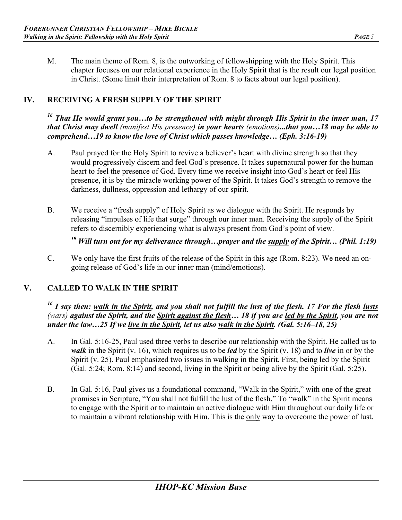M. The main theme of Rom. 8, is the outworking of fellowshipping with the Holy Spirit. This chapter focuses on our relational experience in the Holy Spirit that is the result our legal position in Christ. (Some limit their interpretation of Rom. 8 to facts about our legal position).

# **IV. RECEIVING A FRESH SUPPLY OF THE SPIRIT**

*16 That He would grant you…to be strengthened with might through His Spirit in the inner man, 17 that Christ may dwell (manifest His presence) in your hearts (emotions)...that you…18 may be able to comprehend…19 to know the love of Christ which passes knowledge… (Eph. 3:16-19)* 

- A. Paul prayed for the Holy Spirit to revive a believer's heart with divine strength so that they would progressively discern and feel God's presence. It takes supernatural power for the human heart to feel the presence of God. Every time we receive insight into God's heart or feel His presence, it is by the miracle working power of the Spirit. It takes God's strength to remove the darkness, dullness, oppression and lethargy of our spirit.
- B. We receive a "fresh supply" of Holy Spirit as we dialogue with the Spirit. He responds by releasing "impulses of life that surge" through our inner man. Receiving the supply of the Spirit refers to discernibly experiencing what is always present from God's point of view.

*19 Will turn out for my deliverance through…prayer and the supply of the Spirit… (Phil. 1:19)* 

C. We only have the first fruits of the release of the Spirit in this age (Rom. 8:23). We need an ongoing release of God's life in our inner man (mind/emotions).

## **V. CALLED TO WALK IN THE SPIRIT**

#### *16 I say then: walk in the Spirit, and you shall not fulfill the lust of the flesh. 17 For the flesh lusts (wars) against the Spirit, and the Spirit against the flesh… 18 if you are led by the Spirit, you are not under the law…25 If we live in the Spirit, let us also walk in the Spirit. (Gal. 5:16–18, 25)*

- A. In Gal. 5:16-25, Paul used three verbs to describe our relationship with the Spirit. He called us to *walk* in the Spirit (v. 16), which requires us to be *led* by the Spirit (v. 18) and to *live* in or by the Spirit (v. 25). Paul emphasized two issues in walking in the Spirit. First, being led by the Spirit (Gal. 5:24; Rom. 8:14) and second, living in the Spirit or being alive by the Spirit (Gal. 5:25).
- B. In Gal. 5:16, Paul gives us a foundational command, "Walk in the Spirit," with one of the great promises in Scripture, "You shall not fulfill the lust of the flesh." To "walk" in the Spirit means to engage with the Spirit or to maintain an active dialogue with Him throughout our daily life or to maintain a vibrant relationship with Him. This is the only way to overcome the power of lust.